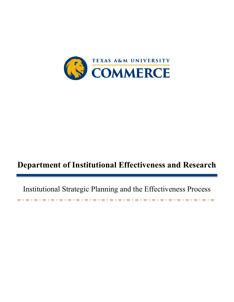

# **Department of Institutional Effectiveness and Research**

Institutional Strategic Planning and the Effectiveness Process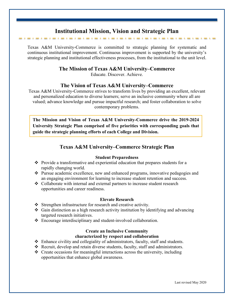## **Institutional Mission, Vision and Strategic Plan**

Texas A&M University-Commerce is committed to strategic planning for systematic and continuous institutional improvement. Continuous improvement is supported by the university's strategic planning and institutional effectiveness processes, from the institutional to the unit level.

#### **The Mission of Texas A&M University–Commerce**

Educate. Discover. Achieve.

#### **The Vision of Texas A&M University–Commerce**

Texas A&M University-Commerce strives to transform lives by providing an excellent, relevant and personalized education to diverse learners; serve an inclusive community where all are valued; advance knowledge and pursue impactful research; and foster collaboration to solve contemporary problems.

**The Mission and Vision of Texas A&M University-Commerce drive the 2019-2024 University Strategic Plan comprised of five priorities with corresponding goals that guide the strategic planning efforts of each College and Division.**

#### **Texas A&M University–Commerce Strategic Plan**

#### **Student Preparedness**

- $\bullet$  Provide a transformative and experiential education that prepares students for a rapidly changing world.
- Pursue academic excellence, new and enhanced programs, innovative pedagogies and an engaging environment for learning to increase student retention and success.
- Collaborate with internal and external partners to increase student research opportunities and career readiness.

#### **Elevate Research**

- Strengthen infrastructure for research and creative activity.
- $\triangle$  Gain distinction as a high research activity institution by identifying and advancing targeted research initiatives.
- Encourage interdisciplinary and student-involved collaboration.

#### **Create an Inclusive Community characterized by respect and collaboration**

- $\triangle$  Enhance civility and collegiality of administrators, faculty, staff and students.
- Recruit, develop and retain diverse students, faculty, staff and administrators.
- $\div$  Create occasions for meaningful interactions across the university, including opportunities that enhance global awareness.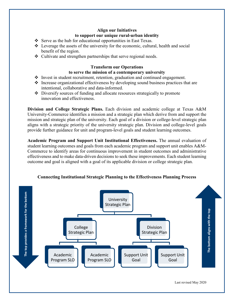## **Align our Initiatives to support our unique rural-urban identity**

- $\div$  Serve as the hub for educational opportunities in East Texas.
- $\div$  Leverage the assets of the university for the economic, cultural, health and social benefit of the region.
- Cultivate and strengthen partnerships that serve regional needs.

# **Transform our Operations**

## **to serve the mission of a contemporary university**

- Invest in student recruitment, retention, graduation and continued engagement.
- $\cdot$  Increase organizational effectiveness by developing sound business practices that are intentional, collaborative and data-informed.
- Diversify sources of funding and allocate resources strategically to promote innovation and effectiveness.

**Division and College Strategic Plans.** Each division and academic college at Texas A&M University-Commerce identifies a mission and a strategic plan which derive from and support the mission and strategic plan of the university. Each goal of a division or college-level strategic plan aligns with a strategic priority of the university strategic plan. Division and college-level goals provide further guidance for unit and program-level goals and student learning outcomes.

**Academic Program and Support Unit Institutional Effectiveness.** The annual evaluation of student learning outcomes and goals from each academic program and support unit enables A&M-Commerce to identify areas for continuous improvement in student outcomes and administrative effectiveness and to make data-driven decisions to seek these improvements. Each student learning outcome and goal is aligned with a goal of its applicable division or college strategic plan.



# **Connecting Institutional Strategic Planning to the Effectiveness Planning Process**

Last revised May 2020